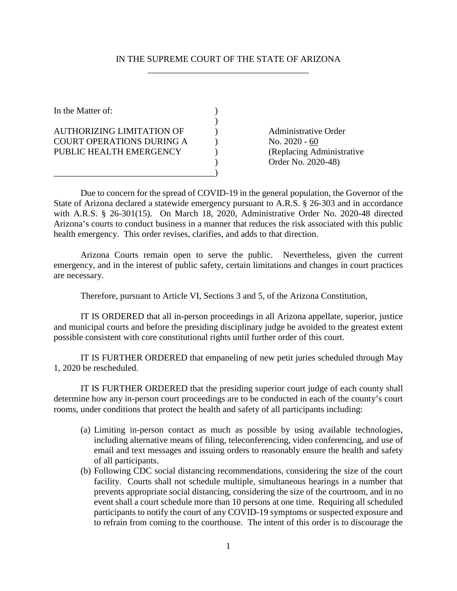## IN THE SUPREME COURT OF THE STATE OF ARIZONA \_\_\_\_\_\_\_\_\_\_\_\_\_\_\_\_\_\_\_\_\_\_\_\_\_\_\_\_\_\_\_\_\_\_\_\_

)

In the Matter of:  $\qquad \qquad$  )

## AUTHORIZING LIMITATION OF  $\qquad \qquad$  Administrative Order COURT OPERATIONS DURING A  $_{N}$  No. 2020 - 60<br>PUBLIC HEALTH EMERGENCY ) (Replacing Ad PUBLIC HEALTH EMERGENCY (Replacing Administrative

\_\_\_\_\_\_\_\_\_\_\_\_\_\_\_\_\_\_\_\_\_\_\_\_\_\_\_\_\_\_\_\_\_\_\_\_)

) Order No. 2020-48)

Due to concern for the spread of COVID-19 in the general population, the Governor of the State of Arizona declared a statewide emergency pursuant to A.R.S. § 26-303 and in accordance with A.R.S. § 26-301(15). On March 18, 2020, Administrative Order No. 2020-48 directed Arizona's courts to conduct business in a manner that reduces the risk associated with this public health emergency. This order revises, clarifies, and adds to that direction.

Arizona Courts remain open to serve the public. Nevertheless, given the current emergency, and in the interest of public safety, certain limitations and changes in court practices are necessary.

Therefore, pursuant to Article VI, Sections 3 and 5, of the Arizona Constitution,

IT IS ORDERED that all in-person proceedings in all Arizona appellate, superior, justice and municipal courts and before the presiding disciplinary judge be avoided to the greatest extent possible consistent with core constitutional rights until further order of this court.

IT IS FURTHER ORDERED that empaneling of new petit juries scheduled through May 1, 2020 be rescheduled.

IT IS FURTHER ORDERED that the presiding superior court judge of each county shall determine how any in-person court proceedings are to be conducted in each of the county's court rooms, under conditions that protect the health and safety of all participants including:

- (a) Limiting in-person contact as much as possible by using available technologies, including alternative means of filing, teleconferencing, video conferencing, and use of email and text messages and issuing orders to reasonably ensure the health and safety of all participants.
- (b) Following CDC social distancing recommendations, considering the size of the court facility. Courts shall not schedule multiple, simultaneous hearings in a number that prevents appropriate social distancing, considering the size of the courtroom, and in no event shall a court schedule more than 10 persons at one time. Requiring all scheduled participants to notify the court of any COVID-19 symptoms or suspected exposure and to refrain from coming to the courthouse. The intent of this order is to discourage the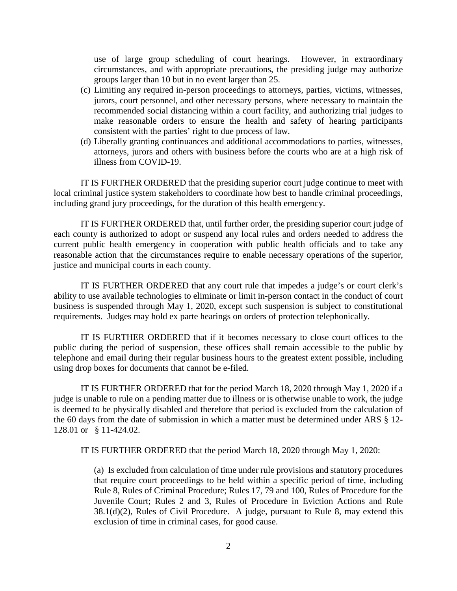use of large group scheduling of court hearings. However, in extraordinary circumstances, and with appropriate precautions, the presiding judge may authorize groups larger than 10 but in no event larger than 25.

- (c) Limiting any required in-person proceedings to attorneys, parties, victims, witnesses, jurors, court personnel, and other necessary persons, where necessary to maintain the recommended social distancing within a court facility, and authorizing trial judges to make reasonable orders to ensure the health and safety of hearing participants consistent with the parties' right to due process of law.
- (d) Liberally granting continuances and additional accommodations to parties, witnesses, attorneys, jurors and others with business before the courts who are at a high risk of illness from COVID-19.

IT IS FURTHER ORDERED that the presiding superior court judge continue to meet with local criminal justice system stakeholders to coordinate how best to handle criminal proceedings, including grand jury proceedings, for the duration of this health emergency.

IT IS FURTHER ORDERED that, until further order, the presiding superior court judge of each county is authorized to adopt or suspend any local rules and orders needed to address the current public health emergency in cooperation with public health officials and to take any reasonable action that the circumstances require to enable necessary operations of the superior, justice and municipal courts in each county.

IT IS FURTHER ORDERED that any court rule that impedes a judge's or court clerk's ability to use available technologies to eliminate or limit in-person contact in the conduct of court business is suspended through May 1, 2020, except such suspension is subject to constitutional requirements. Judges may hold ex parte hearings on orders of protection telephonically.

IT IS FURTHER ORDERED that if it becomes necessary to close court offices to the public during the period of suspension, these offices shall remain accessible to the public by telephone and email during their regular business hours to the greatest extent possible, including using drop boxes for documents that cannot be e-filed.

IT IS FURTHER ORDERED that for the period March 18, 2020 through May 1, 2020 if a judge is unable to rule on a pending matter due to illness or is otherwise unable to work, the judge is deemed to be physically disabled and therefore that period is excluded from the calculation of the 60 days from the date of submission in which a matter must be determined under ARS § 12- 128.01 or § 11-424.02.

IT IS FURTHER ORDERED that the period March 18, 2020 through May 1, 2020:

 (a) Is excluded from calculation of time under rule provisions and statutory procedures that require court proceedings to be held within a specific period of time, including Rule 8, Rules of Criminal Procedure; Rules 17, 79 and 100, Rules of Procedure for the Juvenile Court; Rules 2 and 3, Rules of Procedure in Eviction Actions and Rule 38.1(d)(2), Rules of Civil Procedure. A judge, pursuant to Rule 8, may extend this exclusion of time in criminal cases, for good cause.